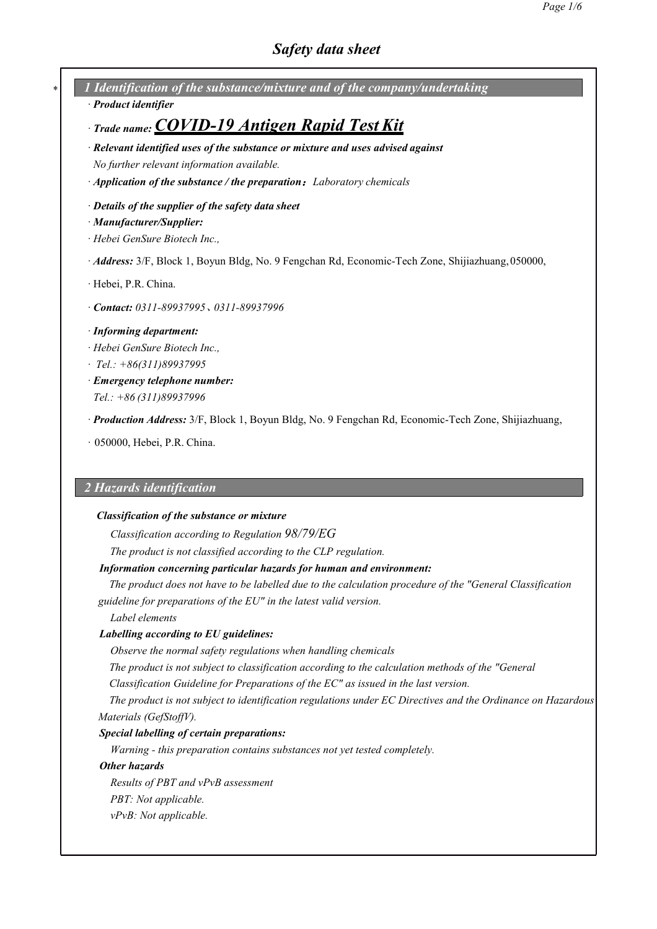*\* 1 Identification of the substance/mixture and of the company/undertaking*

*· Product identifier*

# *· Trade name:COVID-19 Antigen Rapid Test Kit*

- *· Relevant identified uses ofthe substance or mixture and uses advised against No further relevant information available.*
- *· Application of the substance / the preparation*:*Laboratory chemicals*
- *· Details ofthe supplier ofthe safety data sheet*
- *· Manufacturer/Supplier:*
- *· Hebei GenSure Biotech Inc.,*
- *· Address:* 3/F, Block 1, Boyun Bldg, No. 9 Fengchan Rd, Economic-Tech Zone, Shijiazhuang,050000,
- *·* Hebei, P.R. China.
- *· Contact: 0311-89937995*、*0311-89937996*
- *· Informing department:*
- *· Hebei GenSure Biotech Inc.,*
- *· Tel.: +86(311)89937995*
- *· Emergency telephone number: Tel.: +86 (311)89937996*
- *· Production Address:* 3/F, Block 1, Boyun Bldg, No. 9 Fengchan Rd, Economic-Tech Zone, Shijiazhuang,
- *·* 050000, Hebei, P.R. China.

## *2 Hazards identification*

### *Classification of the substance or mixture*

*Classification according to Regulation 98/79/EG*

*The product is not classified according to the CLP regulation.*

## *Information concerning particular hazards for human and environment:*

*The product does not have to be labelled due to the calculation procedure of the "General Classification guideline for preparations of the EU" in the latest valid version.*

*Label elements*

### *Labelling according to EU guidelines:*

*Observe the normalsafety regulations when handling chemicals*

*The product is not subject to classification according to the calculation methods of the "General*

*Classification Guideline for Preparations of the EC" as issued in the lastversion.*

*The product is not subject to identification regulations under EC Directives and the Ordinance on Hazardous*  $Materials (GefStoffV).$ 

### *Special labelling of certain preparations:*

*Warning - this preparation contains substances not yet tested completely.*

### *Other hazards*

*Results of PBT and vPvB assessment PBT: Not applicable. vPvB: Not applicable.*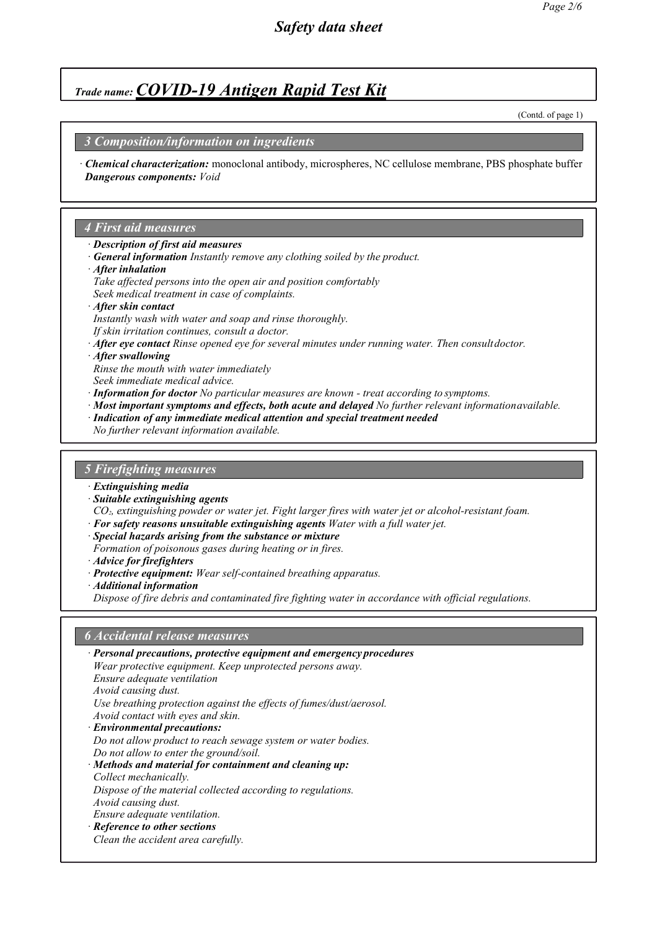(Contd. of page 1)

### *3 Composition/information on ingredients*

*· Chemical characterization:* monoclonal antibody, microspheres, NC cellulose membrane, PBS phosphate buffer *Dangerous components: Void*

#### *4 First aid measures*

- *· Description of first aid measures*
- *· General information Instantly remove any clothing soiled by the product.*
- *· After inhalation*
- *Take af ected persons into the open air and position comfortably Seek medical treatment in case of complaints.*
- *· After skin contact*
- *Instantly wash with water and soap and rinse thoroughly.*
- *If skin irritation continues, consult a doctor.*
- *· After eye contact Rinse opened eye for several minutes under running water. Then consultdoctor.*
- *· After swallowing*
- *Rinse the mouth with water immediately*
- *Seek immediate medical advice.*
- *· Information for doctor No particular measures are known - treat according to symptoms.*
- *· Most important symptoms and effects, both acute and delayed No further relevant informationavailable.*
- *· Indication of any immediate medical attention and special treatment needed*
- *No further relevant information available.*

#### *5 Firefighting measures*

- *· Extinguishing media*
- *· Suitable extinguishing agents*

*CO2, extinguishing powder or water jet. Fight larger fires with water jet or alcohol-resistant foam.*

- *· For safety reasons unsuitable extinguishing agents Water with a full waterjet.*
- *· Special hazards arising from the substance or mixture*
- *Formation of poisonous gases during heating or in fires.*
- *· Advice for firefighters*
- *· Protective equipment: Wear self-contained breathing apparatus.*
- *· Additional information*

*Dispose of fire debris and contaminated fire fighting water in accordance with of icial regulations.*

### *6 Accidental release measures*

| · Personal precautions, protective equipment and emergency procedures |
|-----------------------------------------------------------------------|
| Wear protective equipment. Keep unprotected persons away.             |
| Ensure adequate ventilation                                           |
| Avoid causing dust.                                                   |
| Use breathing protection against the effects of fumes/dust/aerosol.   |
| Avoid contact with eyes and skin.                                     |
| · Environmental precautions:                                          |
| Do not allow product to reach sewage system or water bodies.          |
| Do not allow to enter the ground/soil.                                |
| $\cdot$ Methods and material for containment and cleaning up:         |
| Collect mechanically.                                                 |
| Dispose of the material collected according to regulations.           |
| Avoid causing dust.                                                   |
| <i>Ensure adequate ventilation.</i>                                   |
| · Reference to other sections                                         |
| Clean the accident area carefully.                                    |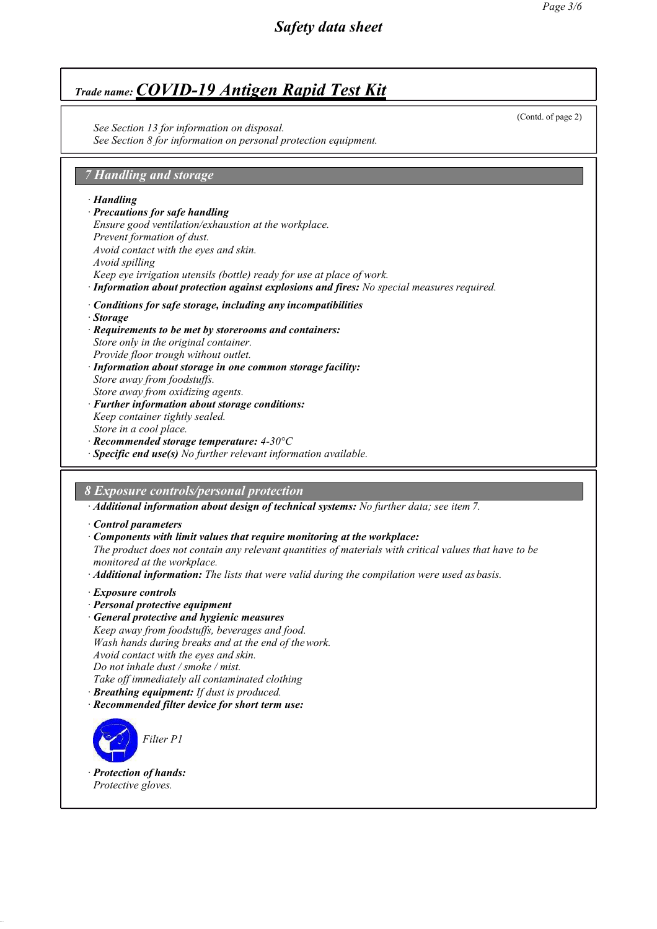*See Section 13 for information on disposal. See Section 8 for information on personal protection equipment.*

# *7 Handling and storage*

*· Handling*

*· Precautions for safe handling Ensure good ventilation/exhaustion at the workplace. Prevent formation of dust. Avoid contact with the eyes and skin. Avoid spilling Keep eye irrigation utensils (bottle) ready for use at place of work.*

*· Information about protection against explosions and fires: No special measures required.*

- *· Conditions for safe storage, including any incompatibilities*
- *· Storage*
- *· Requirements to be met by storerooms and containers: Store only in the original container. Provide floor trough without outlet. · Information about storage in one common storage facility:*
- *Store away from foodstuffs. Store away from oxidizing agents. · Further information about storage conditions:*
- *Keep container tightly sealed. Store in a cool place.*
- *· Recommended storage temperature: 4-30°C*
- *· Specific end use(s) No further relevant information available.*

# *8 Exposure controls/personal protection*

*· Additional information about design of technical systems: No further data; see item 7.*

- *· Control parameters*
- *· Components with limit values that require monitoring at the workplace:*
- *The product does not contain any relevant quantities of materials with critical values that have to be monitored at the workplace.*
- *· Additional information: The lists that were valid during the compilation were used as basis.*
- *· Exposure controls*
- *· Personal protective equipment*
- *· General protective and hygienic measures Keep away from foodstuf s, beverages and food. Wash hands during breaks and at the end of thework. Avoid contact with the eyes and skin. Do not inhale dust / smoke / mist. Take of immediately all contaminated clothing*
- *· Breathing equipment: If dust is produced.*
- *· Recommended filter device for short term use:*



*· Protection of hands: Protective gloves.*

(Contd. of page 2)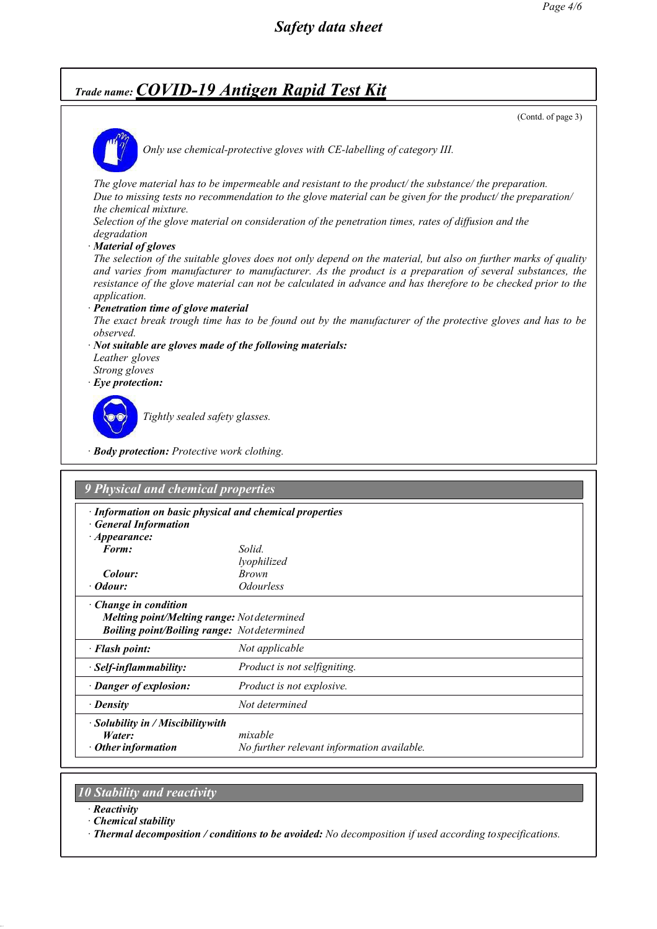(Contd. of page 3)



*Only use chemical-protective gloves with CE-labelling of category III.*

*The glove material has to be impermeable and resistant to the product/ the substance/ the preparation.* Due to missing tests no recommendation to the glove material can be given for the product/ the preparation/ *the chemical mixture.*

*Selection of the glove material on consideration of the penetration times, rates of dif usion and the degradation*

*· Material of gloves*

The selection of the suitable gloves does not only depend on the material, but also on further marks of quality *and varies from manufacturer to manufacturer. As the product is a preparation of several substances, the* resistance of the glove material can not be calculated in advance and has therefore to be checked prior to the *application.*

*· Penetration time of glove material*

The exact break trough time has to be found out by the manufacturer of the protective gloves and has to be *observed.*

- *· Not suitable are gloves made of the following materials: Leather gloves Strong gloves*
- *· Eye protection:*



*Tightly sealed safety glasses.*

*· Body protection: Protective work clothing.*

|                                                    | · Information on basic physical and chemical properties |  |
|----------------------------------------------------|---------------------------------------------------------|--|
| <b>General Information</b><br>$\cdot$ Appearance:  |                                                         |  |
| Form:                                              | Solid.                                                  |  |
|                                                    | lyophilized                                             |  |
| Colour:                                            | <b>Brown</b>                                            |  |
| · Odour:                                           | <i><b>Odourless</b></i>                                 |  |
| $\cdot$ Change in condition                        |                                                         |  |
| Melting point/Melting range: Not determined        |                                                         |  |
| <b>Boiling point/Boiling range:</b> Not determined |                                                         |  |
| · Flash point:                                     | Not applicable                                          |  |
| · Self-inflammability:                             | Product is not selfigniting.                            |  |
| · Danger of explosion:                             | Product is not explosive.                               |  |
| · Density                                          | Not determined                                          |  |
| · Solubility in / Miscibilitywith                  |                                                         |  |
| Water:                                             | mixable                                                 |  |
| $\cdot$ Other information                          | No further relevant information available.              |  |

## *10 Stability and reactivity*

- *· Reactivity*
- *· Chemical stability*

*· Thermal decomposition / conditions to be avoided: No decomposition if used according tospecifications.*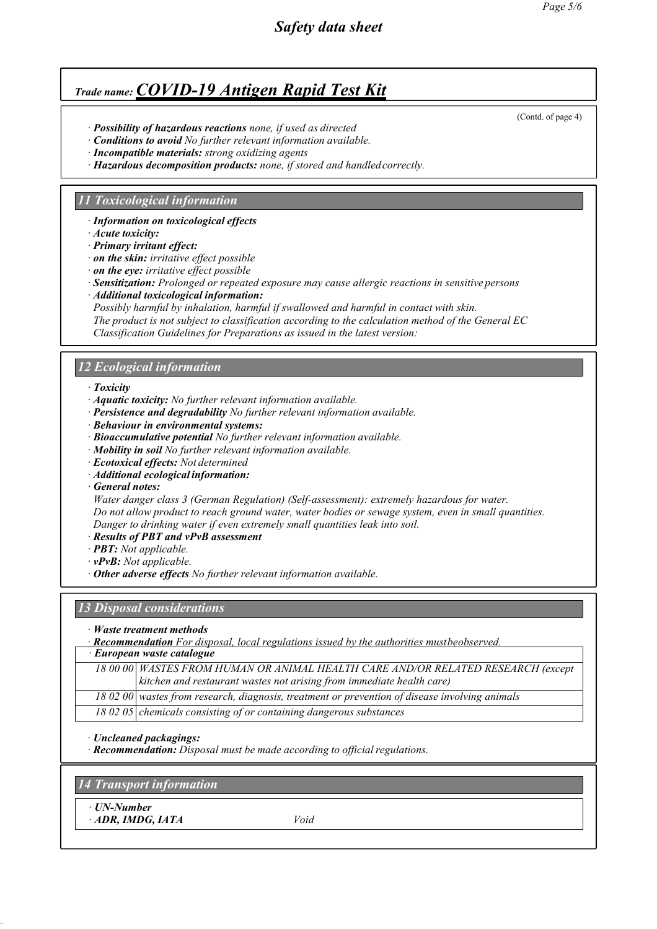- *· Possibility of hazardous reactions none, if used as directed*
- *· Conditions to avoid No further relevant information available.*
- *· Incompatible materials: strong oxidizing agents*
- *· Hazardous decomposition products: none, if stored and handledcorrectly.*

### *11 Toxicological information*

*· Information on toxicological effects*

- *· Acute toxicity:*
- *· Primary irritant effect:*
- *· on the skin: irritative ef ect possible*
- *· on the eye: irritative ef ect possible*
- *· Sensitization: Prolonged or repeated exposure may cause allergic reactions in sensitive persons*
- *· Additional toxicological information:*
- *Possibly harmful by inhalation, harmful if swallowed and harmful in contact with skin.*
- *The product is not subject to classification according to the calculation method ofthe General EC Classification Guidelines for Preparations as issued in the latest version:*

### *12 Ecological information*

- *· Toxicity*
- *· Aquatic toxicity: No further relevant information available.*
- *· Persistence and degradability No further relevant information available.*
- *· Behaviour in environmental systems:*
- *· Bioaccumulative potential No further relevant information available.*
- *· Mobility in soil No further relevant information available.*
- *· Ecotoxical effects: Not determined*
- *· Additional ecological information:*
- *· General notes:*

*Water danger class 3 (German Regulation) (Self-assessment): extremely hazardous for water. Do not allow product to reach ground water, water bodies or sewage system, even in small quantities. Danger to drinking water if even extremely small quantities leak into soil.*

- *· Results ofPBT and vPvB assessment*
- *· PBT: Not applicable.*
- *· vPvB: Not applicable.*
- *· Other adverse effects No further relevant information available.*

#### *13 Disposal considerations*

- *· Waste treatment methods*
- *· Recommendation For disposal, local regulations issued by the authorities mustbeobserved.*

*· European waste catalogue*

*18 00 00 WASTES FROM HUMAN OR ANIMAL HEALTH CARE AND/OR RELATED RESEARCH (except kitchen and restaurant wastes not arising from immediate health care)*

*18 02 00 wastes from research, diagnosis, treatment or prevention of disease involving animals*

*18 02 05 chemicals consisting of or containing dangerous substances*

*· Uncleaned packagings:*

*· Recommendation: Disposal must be made according to official regulations.* 

*14 Transport information*

*· UN-Number · ADR, IMDG, IATA Void*

*Page 5/6*

(Contd. of page 4)